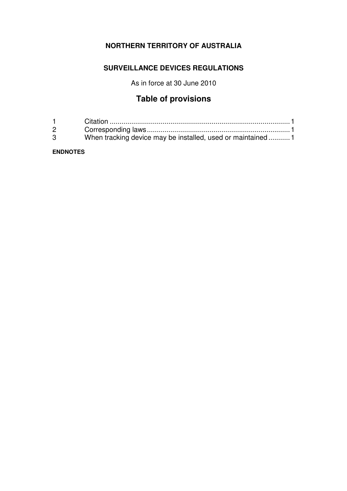# **NORTHERN TERRITORY OF AUSTRALIA**

## **SURVEILLANCE DEVICES REGULATIONS**

As in force at 30 June 2010

# **Table of provisions**

| $\mathbf 1$  |                                                            |
|--------------|------------------------------------------------------------|
| $\mathbf{2}$ |                                                            |
| 3            | When tracking device may be installed, used or maintained1 |

#### **ENDNOTES**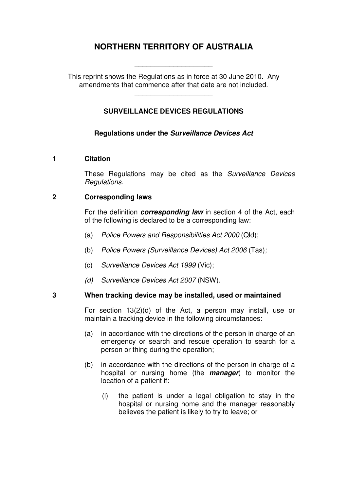# **NORTHERN TERRITORY OF AUSTRALIA**

This reprint shows the Regulations as in force at 30 June 2010. Any amendments that commence after that date are not included.

\_\_\_\_\_\_\_\_\_\_\_\_\_\_\_\_\_\_\_\_

\_\_\_\_\_\_\_\_\_\_\_\_\_\_\_\_\_\_\_\_

### **SURVEILLANCE DEVICES REGULATIONS**

#### **Regulations under the Surveillance Devices Act**

#### **1 Citation**

These Regulations may be cited as the Surveillance Devices Regulations.

#### **2 Corresponding laws**

For the definition **corresponding law** in section 4 of the Act, each of the following is declared to be a corresponding law:

- (a) Police Powers and Responsibilities Act 2000 (Qld);
- (b) Police Powers (Surveillance Devices) Act 2006 (Tas);
- (c) Surveillance Devices Act 1999 (Vic);
- (d) Surveillance Devices Act 2007 (NSW).

#### **3 When tracking device may be installed, used or maintained**

For section 13(2)(d) of the Act, a person may install, use or maintain a tracking device in the following circumstances:

- (a) in accordance with the directions of the person in charge of an emergency or search and rescue operation to search for a person or thing during the operation;
- (b) in accordance with the directions of the person in charge of a hospital or nursing home (the **manager**) to monitor the location of a patient if:
	- (i) the patient is under a legal obligation to stay in the hospital or nursing home and the manager reasonably believes the patient is likely to try to leave; or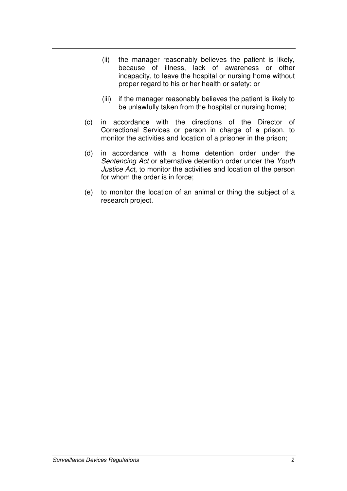- (ii) the manager reasonably believes the patient is likely, because of illness, lack of awareness or other incapacity, to leave the hospital or nursing home without proper regard to his or her health or safety; or
- (iii) if the manager reasonably believes the patient is likely to be unlawfully taken from the hospital or nursing home;
- (c) in accordance with the directions of the Director of Correctional Services or person in charge of a prison, to monitor the activities and location of a prisoner in the prison;
- (d) in accordance with a home detention order under the Sentencing Act or alternative detention order under the Youth Justice Act, to monitor the activities and location of the person for whom the order is in force;
- (e) to monitor the location of an animal or thing the subject of a research project.